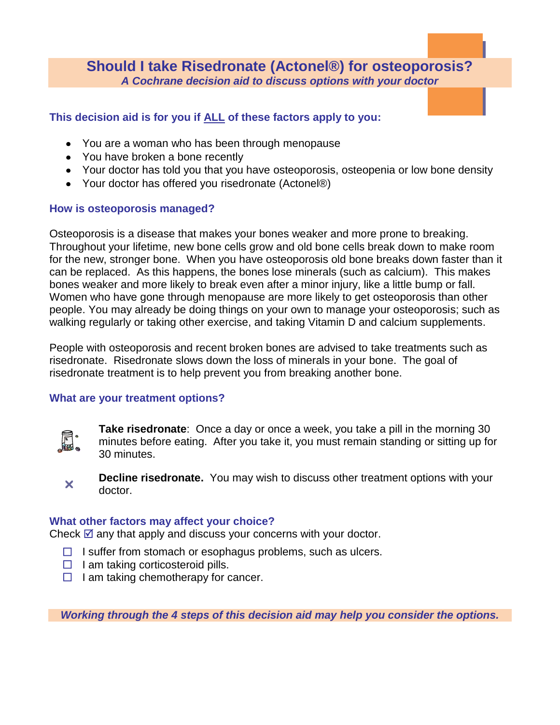# **Should I take Risedronate (Actonel®) for osteoporosis?** *A Cochrane decision aid to discuss options with your doctor*

## **This decision aid is for you if ALL of these factors apply to you:**

- You are a woman who has been through menopause
- You have broken a bone recently
- Your doctor has told you that you have osteoporosis, osteopenia or low bone density
- Your doctor has offered you risedronate (Actonel®)

## **How is osteoporosis managed?**

Osteoporosis is a disease that makes your bones weaker and more prone to breaking. Throughout your lifetime, new bone cells grow and old bone cells break down to make room for the new, stronger bone. When you have osteoporosis old bone breaks down faster than it can be replaced. As this happens, the bones lose minerals (such as calcium). This makes bones weaker and more likely to break even after a minor injury, like a little bump or fall. Women who have gone through menopause are more likely to get osteoporosis than other people. You may already be doing things on your own to manage your osteoporosis; such as walking regularly or taking other exercise, and taking Vitamin D and calcium supplements.

People with osteoporosis and recent broken bones are advised to take treatments such as risedronate. Risedronate slows down the loss of minerals in your bone. The goal of risedronate treatment is to help prevent you from breaking another bone.

## **What are your treatment options?**



**Take risedronate**: Once a day or once a week, you take a pill in the morning 30 minutes before eating. After you take it, you must remain standing or sitting up for 30 minutes.



**Decline risedronate.** You may wish to discuss other treatment options with your doctor.

## **What other factors may affect your choice?**

Check  $\mathbb Z$  any that apply and discuss your concerns with your doctor.

- $\Box$  I suffer from stomach or esophagus problems, such as ulcers.
- $\Box$  I am taking corticosteroid pills.
- $\Box$  I am taking chemotherapy for cancer.

*Working through the 4 steps of this decision aid may help you consider the options.*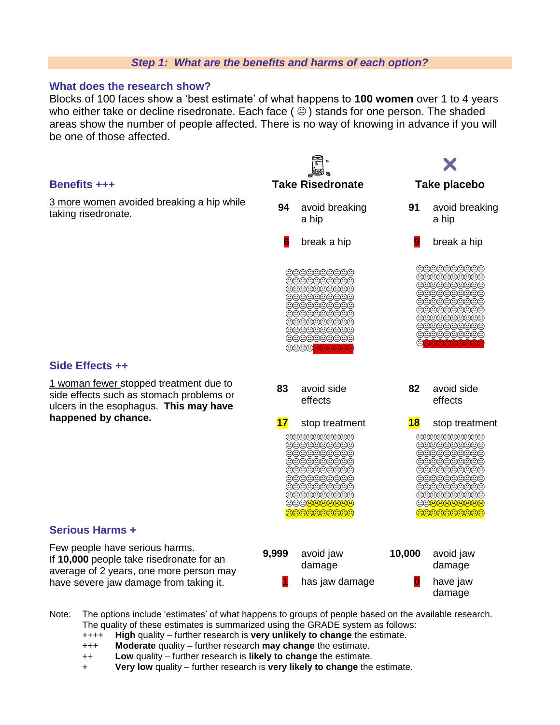#### *Step 1: What are the benefits and harms of each option?*

#### **What does the research show?**

Blocks of 100 faces show a 'best estimate' of what happens to **100 women** over 1 to 4 years who either take or decline risedronate. Each face ( $\circledcirc$ ) stands for one person. The shaded areas show the number of people affected. There is no way of knowing in advance if you will be one of those affected.



- Note: The options include 'estimates' of what happens to groups of people based on the available research. The quality of these estimates is summarized using the GRADE system as follows:
	- ++++ **High** quality further research is **very unlikely to change** the estimate.
	- +++ **Moderate** quality further research **may change** the estimate.
	- ++ **Low** quality further research is **likely to change** the estimate.
	- + **Very low** quality further research is **very likely to change** the estimate.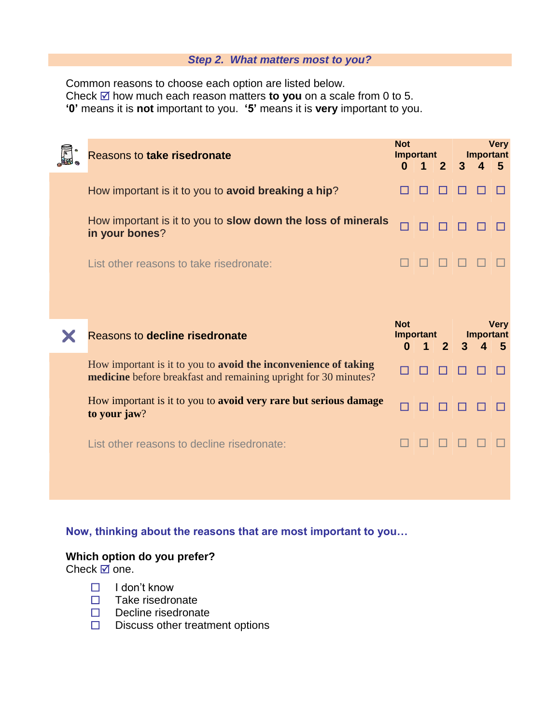#### *Step 2. What matters most to you?*

Common reasons to choose each option are listed below. Check  $\overline{\omega}$  how much each reason matters **to you** on a scale from 0 to 5. **'0'** means it is **not** important to you. **'5'** means it is **very** important to you.

| Reasons to take risedronate                                                                                                        | <b>Not</b><br>Important<br>$\overline{2}$<br>$\Omega$<br>$\blacktriangleleft$ |  | <b>Very</b><br><b>Important</b><br>3<br>5<br>$\mathbf 4$ |                                           |  |  |
|------------------------------------------------------------------------------------------------------------------------------------|-------------------------------------------------------------------------------|--|----------------------------------------------------------|-------------------------------------------|--|--|
| How important is it to you to avoid breaking a hip?                                                                                |                                                                               |  |                                                          |                                           |  |  |
| How important is it to you to slow down the loss of minerals<br>in your bones?                                                     |                                                                               |  |                                                          |                                           |  |  |
| List other reasons to take risedronate:                                                                                            |                                                                               |  |                                                          |                                           |  |  |
|                                                                                                                                    |                                                                               |  |                                                          |                                           |  |  |
| Reasons to decline risedronate                                                                                                     | <b>Not</b><br>Important<br>$\overline{2}$<br>0                                |  |                                                          | <b>Very</b><br><b>Important</b><br>5<br>3 |  |  |
| How important is it to you to avoid the inconvenience of taking<br>medicine before breakfast and remaining upright for 30 minutes? |                                                                               |  |                                                          |                                           |  |  |
| How important is it to you to avoid very rare but serious damage<br>to your jaw?                                                   |                                                                               |  |                                                          |                                           |  |  |
| List other reasons to decline risedronate:                                                                                         |                                                                               |  |                                                          |                                           |  |  |
|                                                                                                                                    |                                                                               |  |                                                          |                                           |  |  |

**Now, thinking about the reasons that are most important to you…**

## **Which option do you prefer?**

Check  $\overline{a}$  one.

- $\Box$  I don't know
- $\Box$  Take risedronate
- $\Box$  Decline risedronate
- $\square$  Discuss other treatment options